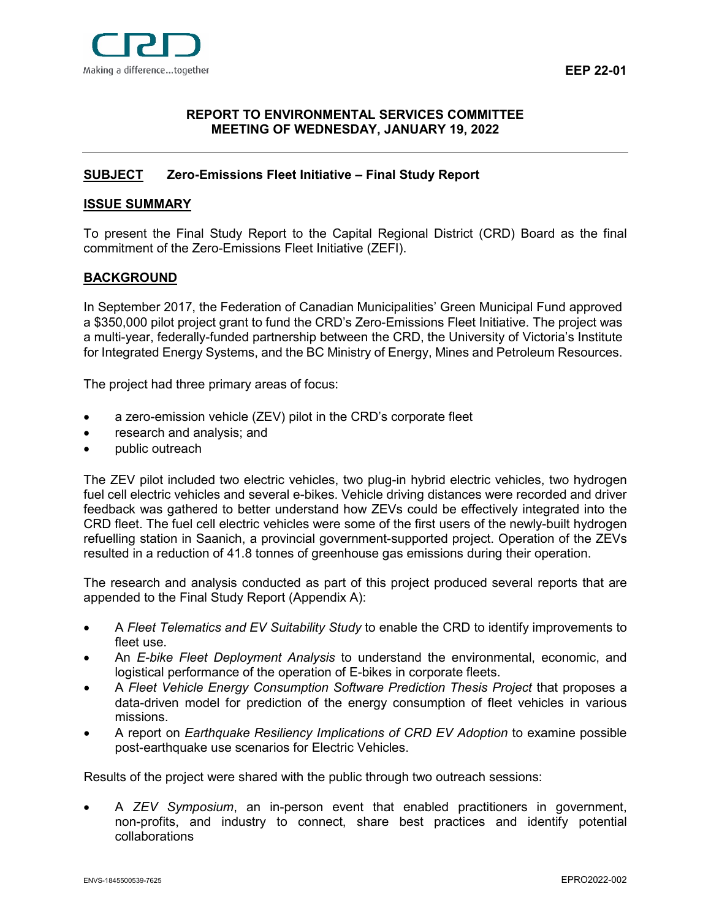

# <span id="page-0-0"></span>**[REPORT](#page-0-0) TO ENVIRONMENTAL SERVICES COMMITTEE MEETING OF WEDNESDAY, JANUARY 19, 2022**

# <span id="page-0-1"></span>**[SUBJECT](#page-0-1) Zero-Emissions Fleet Initiative – Final Study Report**

## <span id="page-0-2"></span>**[ISSUE SUMMARY](#page-0-2)**

To present the Final Study Report to the Capital Regional District (CRD) Board as the final commitment of the Zero-Emissions Fleet Initiative (ZEFI).

## <span id="page-0-3"></span>**[BACKGROUND](#page-0-3)**

In September 2017, the Federation of Canadian Municipalities' Green Municipal Fund approved a \$350,000 pilot project grant to fund the CRD's Zero-Emissions Fleet Initiative. The project was a multi-year, federally-funded partnership between the CRD, the University of Victoria's Institute for Integrated Energy Systems, and the BC Ministry of Energy, Mines and Petroleum Resources.

The project had three primary areas of focus:

- a zero-emission vehicle (ZEV) pilot in the CRD's corporate fleet
- research and analysis; and
- public outreach

The ZEV pilot included two electric vehicles, two plug-in hybrid electric vehicles, two hydrogen fuel cell electric vehicles and several e-bikes. Vehicle driving distances were recorded and driver feedback was gathered to better understand how ZEVs could be effectively integrated into the CRD fleet. The fuel cell electric vehicles were some of the first users of the newly-built hydrogen refuelling station in Saanich, a provincial government-supported project. Operation of the ZEVs resulted in a reduction of 41.8 tonnes of greenhouse gas emissions during their operation.

The research and analysis conducted as part of this project produced several reports that are appended to the Final Study Report (Appendix A):

- A *Fleet Telematics and EV Suitability Study* to enable the CRD to identify improvements to fleet use.
- An *E-bike Fleet Deployment Analysis* to understand the environmental, economic, and logistical performance of the operation of E-bikes in corporate fleets.
- A *Fleet Vehicle Energy Consumption Software Prediction Thesis Project* that proposes a data-driven model for prediction of the energy consumption of fleet vehicles in various missions.
- A report on *Earthquake Resiliency Implications of CRD EV Adoption* to examine possible post-earthquake use scenarios for Electric Vehicles.

Results of the project were shared with the public through two outreach sessions:

• A *ZEV Symposium*, an in-person event that enabled practitioners in government, non-profits, and industry to connect, share best practices and identify potential collaborations